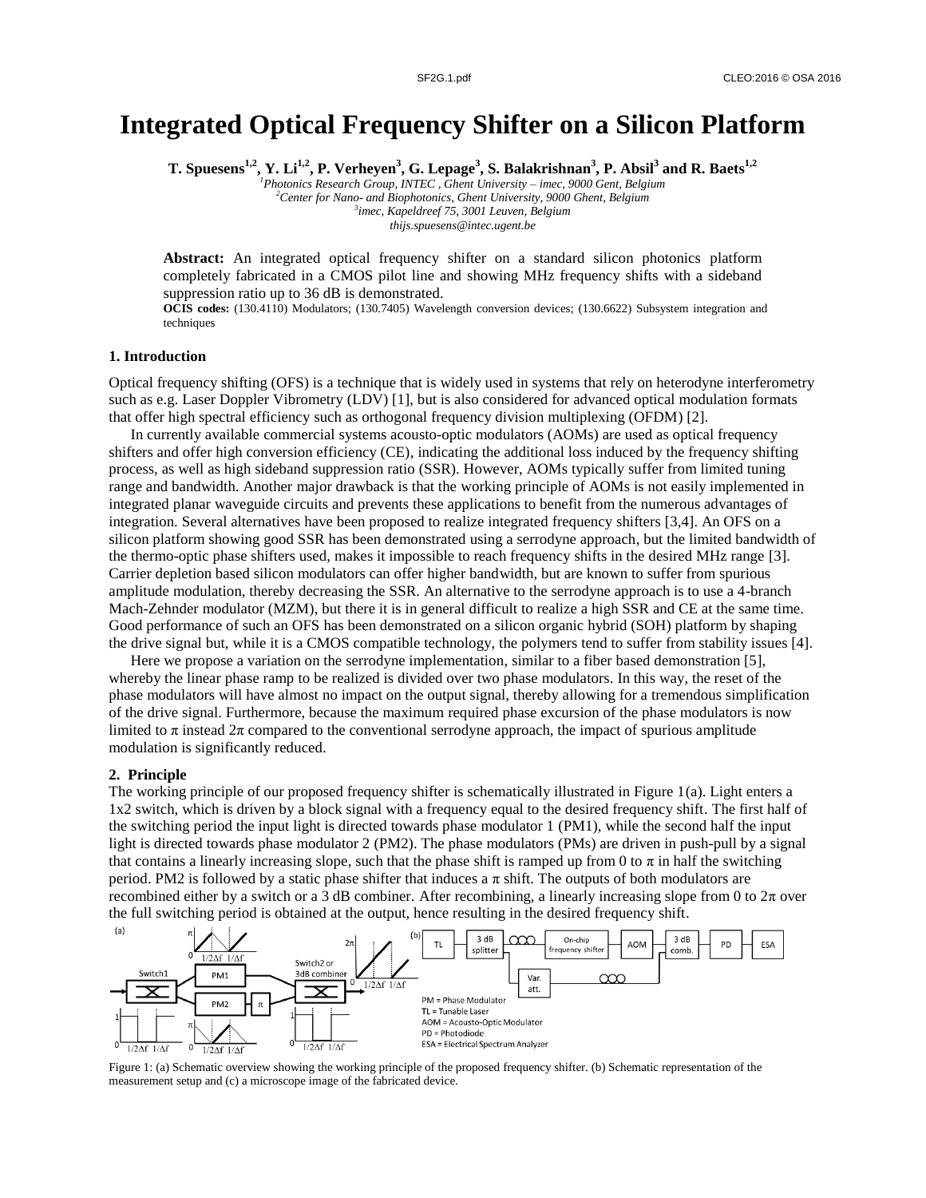# **Integrated Optical Frequency Shifter on a Silicon Platform**

**T. Spuesens1,2 , Y. Li1,2 , P. Verheyen<sup>3</sup> , G. Lepage<sup>3</sup> , S. Balakrishnan<sup>3</sup> , P. Absil<sup>3</sup> and R. Baets1,2**

*Photonics Research Group, INTEC , Ghent University – imec, 9000 Gent, Belgium Center for Nano- and Biophotonics, Ghent University, 9000 Ghent, Belgium imec, Kapeldreef 75, 3001 Leuven, Belgium thijs.spuesens@intec.ugent.be*

**Abstract:** An integrated optical frequency shifter on a standard silicon photonics platform completely fabricated in a CMOS pilot line and showing MHz frequency shifts with a sideband suppression ratio up to 36 dB is demonstrated.

**OCIS codes:** (130.4110) Modulators; (130.7405) Wavelength conversion devices; (130.6622) Subsystem integration and techniques

## **1. Introduction**

Optical frequency shifting (OFS) is a technique that is widely used in systems that rely on heterodyne interferometry such as e.g. Laser Doppler Vibrometry (LDV) [1], but is also considered for advanced optical modulation formats that offer high spectral efficiency such as orthogonal frequency division multiplexing (OFDM) [2].

In currently available commercial systems acousto-optic modulators (AOMs) are used as optical frequency shifters and offer high conversion efficiency (CE), indicating the additional loss induced by the frequency shifting process, as well as high sideband suppression ratio (SSR). However, AOMs typically suffer from limited tuning range and bandwidth. Another major drawback is that the working principle of AOMs is not easily implemented in integrated planar waveguide circuits and prevents these applications to benefit from the numerous advantages of integration. Several alternatives have been proposed to realize integrated frequency shifters [3,4]. An OFS on a silicon platform showing good SSR has been demonstrated using a serrodyne approach, but the limited bandwidth of the thermo-optic phase shifters used, makes it impossible to reach frequency shifts in the desired MHz range [3]. Carrier depletion based silicon modulators can offer higher bandwidth, but are known to suffer from spurious amplitude modulation, thereby decreasing the SSR. An alternative to the serrodyne approach is to use a 4-branch Mach-Zehnder modulator (MZM), but there it is in general difficult to realize a high SSR and CE at the same time. Good performance of such an OFS has been demonstrated on a silicon organic hybrid (SOH) platform by shaping the drive signal but, while it is a CMOS compatible technology, the polymers tend to suffer from stability issues [4].

Here we propose a variation on the serrodyne implementation, similar to a fiber based demonstration [5], whereby the linear phase ramp to be realized is divided over two phase modulators. In this way, the reset of the phase modulators will have almost no impact on the output signal, thereby allowing for a tremendous simplification of the drive signal. Furthermore, because the maximum required phase excursion of the phase modulators is now limited to  $\pi$  instead  $2\pi$  compared to the conventional serrodyne approach, the impact of spurious amplitude modulation is significantly reduced.

#### **2. Principle**

The working principle of our proposed frequency shifter is schematically illustrated in Figure 1(a). Light enters a 1x2 switch, which is driven by a block signal with a frequency equal to the desired frequency shift. The first half of the switching period the input light is directed towards phase modulator 1 (PM1), while the second half the input light is directed towards phase modulator 2 (PM2). The phase modulators (PMs) are driven in push-pull by a signal that contains a linearly increasing slope, such that the phase shift is ramped up from 0 to  $\pi$  in half the switching period. PM2 is followed by a static phase shifter that induces a  $\pi$  shift. The outputs of both modulators are recombined either by a switch or a 3 dB combiner. After recombining, a linearly increasing slope from 0 to  $2\pi$  over the full switching period is obtained at the output, hence resulting in the desired frequency shift.



Figure 1: (a) Schematic overview showing the working principle of the proposed frequency shifter. (b) Schematic representation of the measurement setup and (c) a microscope image of the fabricated device.